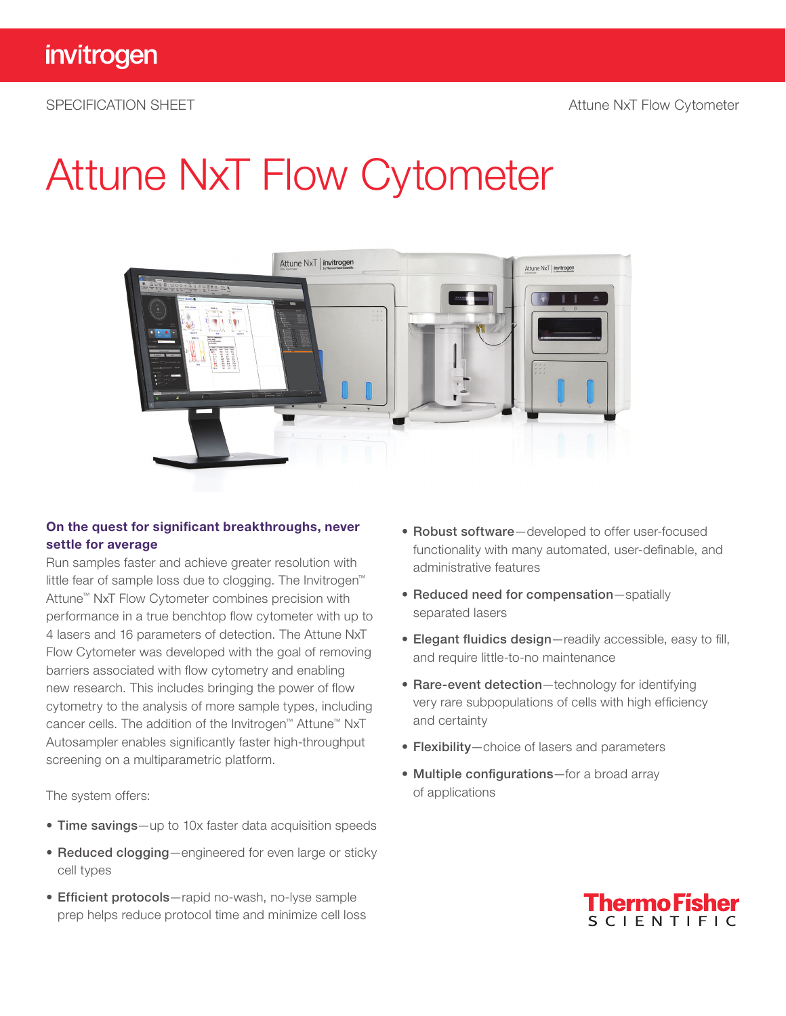## Attune NxT Flow Cytometer



### On the quest for significant breakthroughs, never settle for average

Run samples faster and achieve greater resolution with little fear of sample loss due to clogging. The Invitrogen™ Attune™ NxT Flow Cytometer combines precision with performance in a true benchtop flow cytometer with up to 4 lasers and 16 parameters of detection. The Attune NxT Flow Cytometer was developed with the goal of removing barriers associated with flow cytometry and enabling new research. This includes bringing the power of flow cytometry to the analysis of more sample types, including cancer cells. The addition of the Invitrogen™ Attune™ NxT Autosampler enables significantly faster high-throughput screening on a multiparametric platform.

The system offers:

- Time savings—up to 10x faster data acquisition speeds
- Reduced clogging—engineered for even large or sticky cell types
- Efficient protocols—rapid no-wash, no-lyse sample prep helps reduce protocol time and minimize cell loss
- Robust software—developed to offer user-focused functionality with many automated, user-definable, and administrative features
- Reduced need for compensation—spatially separated lasers
- Elegant fluidics design—readily accessible, easy to fill, and require little-to-no maintenance
- Rare-event detection-technology for identifying very rare subpopulations of cells with high efficiency and certainty
- Flexibility—choice of lasers and parameters
- Multiple configurations-for a broad array of applications

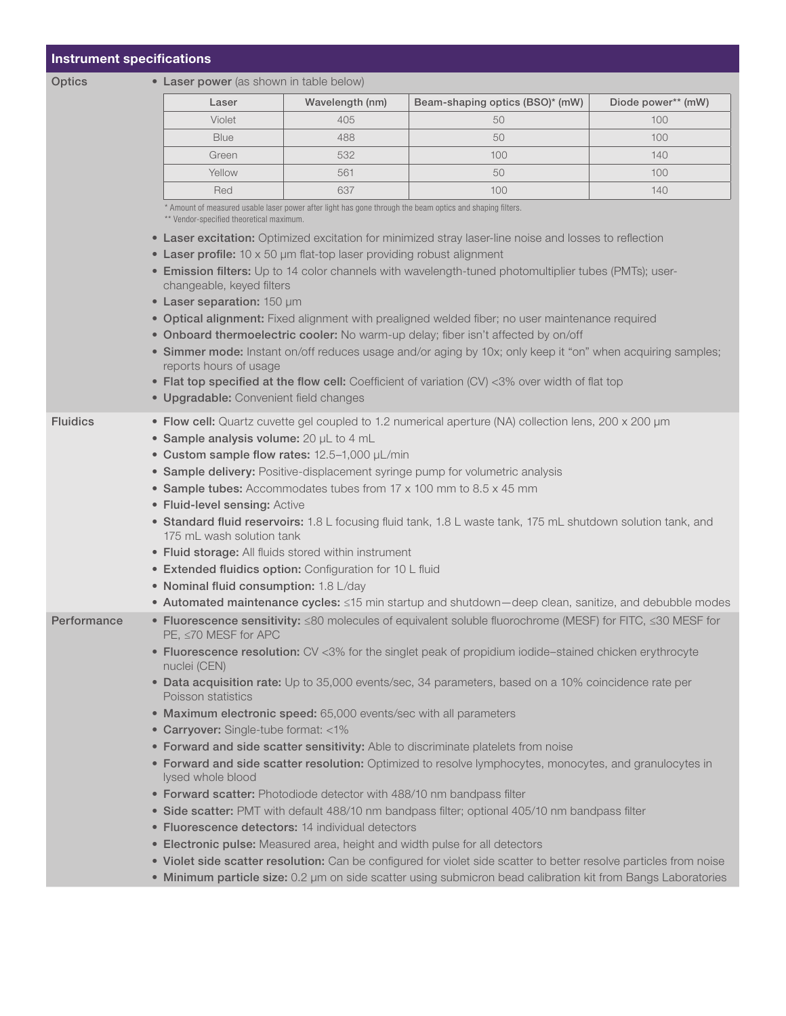### Instrument specifications

### Optics • Laser power (as shown in table below)

| Laser       | Wavelength (nm) | Beam-shaping optics (BSO)* (mW) | Diode power** (mW) |
|-------------|-----------------|---------------------------------|--------------------|
| Violet      | 405             | 50                              | $100 -$            |
| <b>Blue</b> | 488             | 50                              | $100 -$            |
| Green       | 532             | 100                             | 140                |
| Yellow      | 561             | 50                              | 100                |
| Red         | 637             | 100                             | 140                |

\* Amount of measured usable laser power after light has gone through the beam optics and shaping filters.

\*\* Vendor-specified theoretical maximum.

- Laser excitation: Optimized excitation for minimized stray laser-line noise and losses to reflection
- Laser profile: 10 x 50 μm flat-top laser providing robust alignment
- Emission filters: Up to 14 color channels with wavelength-tuned photomultiplier tubes (PMTs); userchangeable, keyed filters
- Laser separation: 150 μm
- Optical alignment: Fixed alignment with prealigned welded fiber; no user maintenance required
- Onboard thermoelectric cooler: No warm-up delay; fiber isn't affected by on/off
- Simmer mode: Instant on/off reduces usage and/or aging by 10x; only keep it "on" when acquiring samples; reports hours of usage
- Flat top specified at the flow cell: Coefficient of variation (CV) <3% over width of flat top
- Upgradable: Convenient field changes
- Fluidics Flow cell: Quartz cuvette gel coupled to 1.2 numerical aperture (NA) collection lens, 200 x 200 µm • Sample analysis volume: 20 μL to 4 mL
	- Custom sample flow rates: 12.5-1,000 μL/min
	- Sample delivery: Positive-displacement syringe pump for volumetric analysis
	- Sample tubes: Accommodates tubes from 17 x 100 mm to 8.5 x 45 mm
	- Fluid-level sensing: Active
	- Standard fluid reservoirs: 1.8 L focusing fluid tank, 1.8 L waste tank, 175 mL shutdown solution tank, and 175 mL wash solution tank
	- Fluid storage: All fluids stored within instrument
	- Extended fluidics option: Configuration for 10 L fluid
	- Nominal fluid consumption: 1.8 L/day
	- Automated maintenance cycles: ≤15 min startup and shutdown—deep clean, sanitize, and debubble modes
- Performance Fluorescence sensitivity: ≤80 molecules of equivalent soluble fluorochrome (MESF) for FITC, ≤30 MESF for PE, ≤70 MESF for APC
	- Fluorescence resolution: CV <3% for the singlet peak of propidium iodide–stained chicken erythrocyte nuclei (CEN)
	- Data acquisition rate: Up to 35,000 events/sec, 34 parameters, based on a 10% coincidence rate per Poisson statistics
	- Maximum electronic speed: 65,000 events/sec with all parameters
	- Carryover: Single-tube format: <1%
	- Forward and side scatter sensitivity: Able to discriminate platelets from noise
	- **Forward and side scatter resolution:** Optimized to resolve lymphocytes, monocytes, and granulocytes in lysed whole blood
	- Forward scatter: Photodiode detector with 488/10 nm bandpass filter
	- Side scatter: PMT with default 488/10 nm bandpass filter; optional 405/10 nm bandpass filter
	- Fluorescence detectors: 14 individual detectors
	- **Electronic pulse:** Measured area, height and width pulse for all detectors
	- Violet side scatter resolution: Can be configured for violet side scatter to better resolve particles from noise
	- Minimum particle size: 0.2 μm on side scatter using submicron bead calibration kit from Bangs Laboratories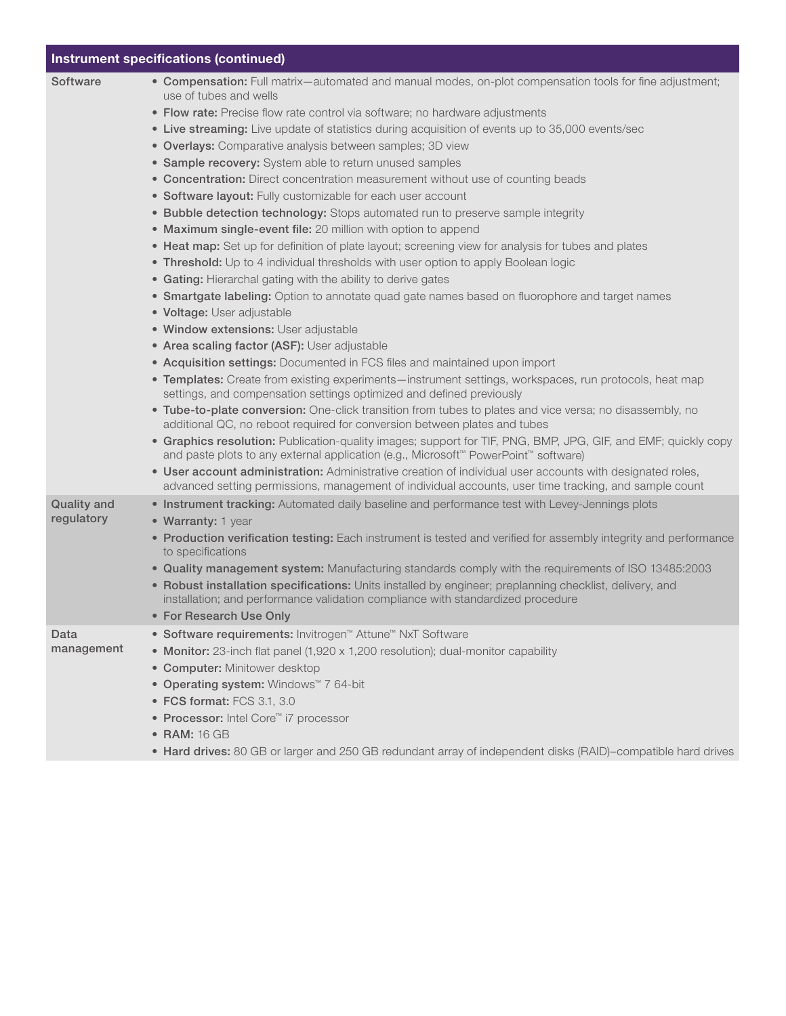| <b>Instrument specifications (continued)</b> |                                                                                                                                                                                                                                                                                                                                                                                                                                                                                                                                                                                                                                                                                                                                                                                                                                                                                                                                                                                                                                                                                                                                                                                                                                                                                                                                                                                                                                                                                                                                                                                                                                                                                                                                                                                                                                                                                                                                                                                                                                                                                                                                 |  |  |  |
|----------------------------------------------|---------------------------------------------------------------------------------------------------------------------------------------------------------------------------------------------------------------------------------------------------------------------------------------------------------------------------------------------------------------------------------------------------------------------------------------------------------------------------------------------------------------------------------------------------------------------------------------------------------------------------------------------------------------------------------------------------------------------------------------------------------------------------------------------------------------------------------------------------------------------------------------------------------------------------------------------------------------------------------------------------------------------------------------------------------------------------------------------------------------------------------------------------------------------------------------------------------------------------------------------------------------------------------------------------------------------------------------------------------------------------------------------------------------------------------------------------------------------------------------------------------------------------------------------------------------------------------------------------------------------------------------------------------------------------------------------------------------------------------------------------------------------------------------------------------------------------------------------------------------------------------------------------------------------------------------------------------------------------------------------------------------------------------------------------------------------------------------------------------------------------------|--|--|--|
| Software                                     | • Compensation: Full matrix-automated and manual modes, on-plot compensation tools for fine adjustment;<br>use of tubes and wells<br>• Flow rate: Precise flow rate control via software; no hardware adjustments<br>• Live streaming: Live update of statistics during acquisition of events up to 35,000 events/sec<br>• Overlays: Comparative analysis between samples; 3D view<br>• Sample recovery: System able to return unused samples<br>• Concentration: Direct concentration measurement without use of counting beads<br>• Software layout: Fully customizable for each user account<br>• Bubble detection technology: Stops automated run to preserve sample integrity<br>• Maximum single-event file: 20 million with option to append<br>• Heat map: Set up for definition of plate layout; screening view for analysis for tubes and plates<br>• Threshold: Up to 4 individual thresholds with user option to apply Boolean logic<br>• Gating: Hierarchal gating with the ability to derive gates<br>• Smartgate labeling: Option to annotate quad gate names based on fluorophore and target names<br>• Voltage: User adjustable<br>· Window extensions: User adjustable<br>• Area scaling factor (ASF): User adjustable<br>• Acquisition settings: Documented in FCS files and maintained upon import<br>• Templates: Create from existing experiments—instrument settings, workspaces, run protocols, heat map<br>settings, and compensation settings optimized and defined previously<br>. Tube-to-plate conversion: One-click transition from tubes to plates and vice versa; no disassembly, no<br>additional QC, no reboot required for conversion between plates and tubes<br>• Graphics resolution: Publication-quality images; support for TIF, PNG, BMP, JPG, GIF, and EMF; quickly copy<br>and paste plots to any external application (e.g., Microsoft™ PowerPoint™ software)<br>. User account administration: Administrative creation of individual user accounts with designated roles,<br>advanced setting permissions, management of individual accounts, user time tracking, and sample count |  |  |  |
| Quality and<br>regulatory                    | . Instrument tracking: Automated daily baseline and performance test with Levey-Jennings plots<br>• Warranty: 1 year<br>• Production verification testing: Each instrument is tested and verified for assembly integrity and performance<br>to specifications<br>. Quality management system: Manufacturing standards comply with the requirements of ISO 13485:2003<br>• Robust installation specifications: Units installed by engineer; preplanning checklist, delivery, and<br>installation; and performance validation compliance with standardized procedure<br>• For Research Use Only                                                                                                                                                                                                                                                                                                                                                                                                                                                                                                                                                                                                                                                                                                                                                                                                                                                                                                                                                                                                                                                                                                                                                                                                                                                                                                                                                                                                                                                                                                                                   |  |  |  |
| Data<br>management                           | • Software requirements: Invitrogen <sup>™</sup> Attune <sup>™</sup> NxT Software<br>• Monitor: 23-inch flat panel (1,920 x 1,200 resolution); dual-monitor capability<br>• Computer: Minitower desktop<br>• Operating system: Windows <sup>™</sup> 7 64-bit<br>• FCS format: FCS 3.1, 3.0<br>• Processor: Intel Core <sup>™</sup> i7 processor<br>• RAM: 16 GB<br>• Hard drives: 80 GB or larger and 250 GB redundant array of independent disks (RAID)-compatible hard drives                                                                                                                                                                                                                                                                                                                                                                                                                                                                                                                                                                                                                                                                                                                                                                                                                                                                                                                                                                                                                                                                                                                                                                                                                                                                                                                                                                                                                                                                                                                                                                                                                                                 |  |  |  |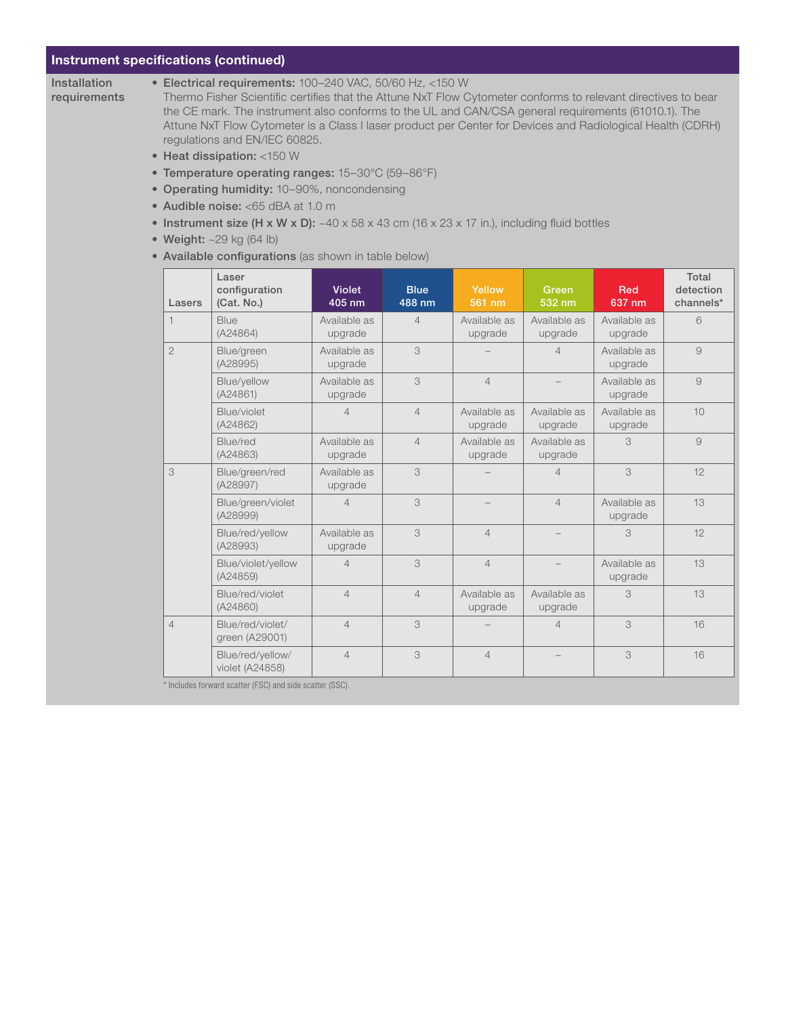### Instrument specifications (continued)

Installation requirements

#### • Electrical requirements: 100–240 VAC, 50/60 Hz, <150 W

Thermo Fisher Scientific certifies that the Attune NxT Flow Cytometer conforms to relevant directives to bear the CE mark. The instrument also conforms to the UL and CAN/CSA general requirements (61010.1). The Attune NxT Flow Cytometer is a Class I laser product per Center for Devices and Radiological Health (CDRH) regulations and EN/IEC 60825.

- Heat dissipation: <150 W
- Temperature operating ranges: 15–30°C (59–86°F)
- Operating humidity: 10–90%, noncondensing
- Audible noise: <65 dBA at 1.0 m
- Instrument size (H x W x D):  $~40 \times 58 \times 43$  cm (16 x 23 x 17 in.), including fluid bottles
- Weight:  $\sim$ 29 kg (64 lb)
- Available configurations (as shown in table below)

| Lasers         | Laser<br>configuration<br>(Cat. No.) | <b>Violet</b><br>405 nm | <b>Blue</b><br>488 nm | Yellow<br>561 nm        | Green<br>532 nm         | <b>Red</b><br>637 nm    | Total<br>detection<br>channels* |
|----------------|--------------------------------------|-------------------------|-----------------------|-------------------------|-------------------------|-------------------------|---------------------------------|
| $\mathbf 1$    | Blue<br>(A24864)                     | Available as<br>upgrade | $\overline{4}$        | Available as<br>upgrade | Available as<br>upgrade | Available as<br>upgrade | 6                               |
| $\overline{2}$ | Blue/green<br>(A28995)               | Available as<br>upgrade | 3                     |                         | $\overline{4}$          | Available as<br>upgrade | 9                               |
|                | Blue/yellow<br>(A24861)              | Available as<br>upgrade | 3                     | $\overline{4}$          |                         | Available as<br>upgrade | 9                               |
|                | Blue/violet<br>(A24862)              | $\overline{4}$          | $\overline{4}$        | Available as<br>upgrade | Available as<br>upgrade | Available as<br>upgrade | 10                              |
|                | Blue/red<br>(A24863)                 | Available as<br>upgrade | $\overline{4}$        | Available as<br>upgrade | Available as<br>upgrade | 3                       | $\overline{9}$                  |
| 3              | Blue/green/red<br>(A28997)           | Available as<br>upgrade | 3                     |                         | $\Delta$                | 3                       | 12                              |
|                | Blue/green/violet<br>(A28999)        | $\overline{4}$          | 3                     |                         | $\overline{4}$          | Available as<br>upgrade | 13                              |
|                | Blue/red/yellow<br>(A28993)          | Available as<br>upgrade | 3                     | $\overline{4}$          |                         | 3                       | 12                              |
|                | Blue/violet/yellow<br>(A24859)       | $\overline{4}$          | 3                     | $\overline{4}$          |                         | Available as<br>upgrade | 13                              |
|                | Blue/red/violet<br>(A24860)          | $\overline{4}$          | $\overline{4}$        | Available as<br>upgrade | Available as<br>upgrade | 3                       | 13                              |
| $\overline{4}$ | Blue/red/violet/<br>green (A29001)   | $\overline{4}$          | 3                     |                         | $\Delta$                | 3                       | 16                              |
|                | Blue/red/yellow/<br>violet (A24858)  | $\overline{4}$          | 3                     | $\overline{4}$          |                         | 3                       | 16                              |

\* Includes forward scatter (FSC) and side scatter (SSC).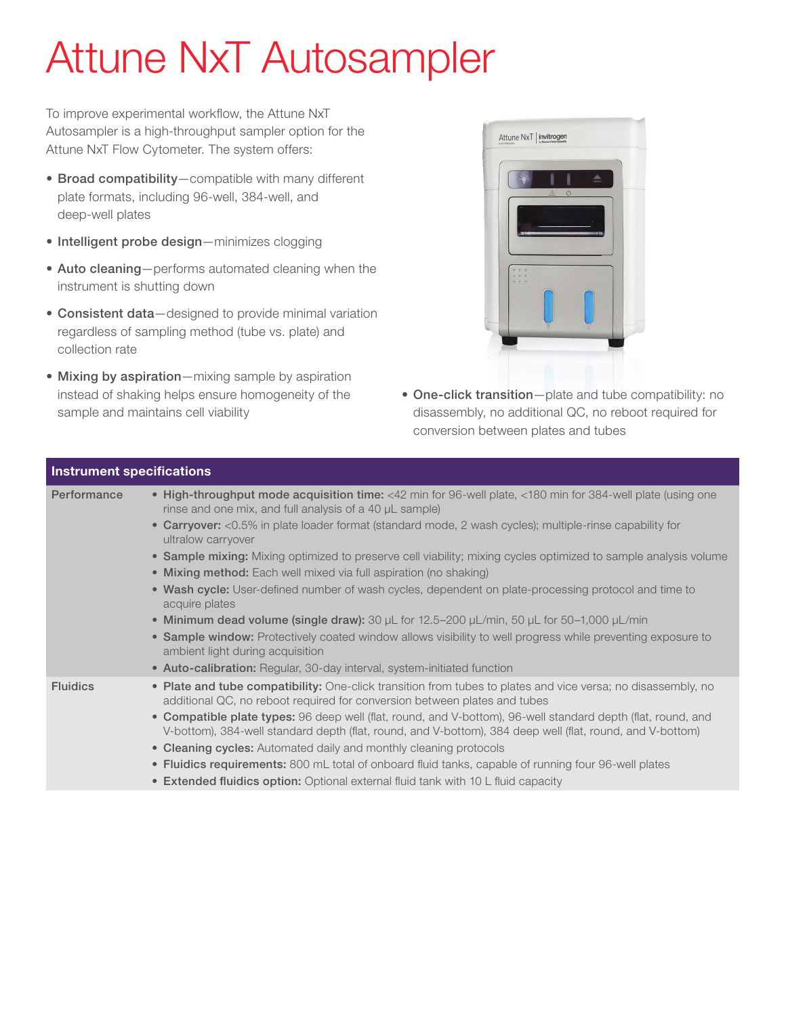# Attune NxT Autosampler

To improve experimental workflow, the Attune NxT Autosampler is a high-throughput sampler option for the Attune NxT Flow Cytometer. The system offers:

- Broad compatibility—compatible with many different plate formats, including 96-well, 384-well, and deep-well plates
- Intelligent probe design—minimizes clogging
- Auto cleaning—performs automated cleaning when the instrument is shutting down
- Consistent data-designed to provide minimal variation regardless of sampling method (tube vs. plate) and collection rate
- Mixing by aspiration—mixing sample by aspiration instead of shaking helps ensure homogeneity of the sample and maintains cell viability

nant engeification



• One-click transition—plate and tube compatibility: no disassembly, no additional QC, no reboot required for conversion between plates and tubes

| mou anicht opcomoations |                                                                                                                                                                                                                           |
|-------------------------|---------------------------------------------------------------------------------------------------------------------------------------------------------------------------------------------------------------------------|
| Performance             | • High-throughput mode acquisition time: <42 min for 96-well plate, <180 min for 384-well plate (using one<br>rinse and one mix, and full analysis of a 40 µL sample)                                                     |
|                         | • Carryover: <0.5% in plate loader format (standard mode, 2 wash cycles); multiple-rinse capability for<br>ultralow carryover                                                                                             |
|                         | • Sample mixing: Mixing optimized to preserve cell viability; mixing cycles optimized to sample analysis volume                                                                                                           |
|                         | • Mixing method: Each well mixed via full aspiration (no shaking)                                                                                                                                                         |
|                         | • Wash cycle: User-defined number of wash cycles, dependent on plate-processing protocol and time to<br>acquire plates                                                                                                    |
|                         | • Minimum dead volume (single draw): 30 $\mu$ L for 12.5–200 $\mu$ L/min, 50 $\mu$ L for 50–1,000 $\mu$ L/min                                                                                                             |
|                         | • Sample window: Protectively coated window allows visibility to well progress while preventing exposure to<br>ambient light during acquisition                                                                           |
|                         | • Auto-calibration: Regular, 30-day interval, system-initiated function                                                                                                                                                   |
| <b>Fluidics</b>         | • Plate and tube compatibility: One-click transition from tubes to plates and vice versa; no disassembly, no<br>additional QC, no reboot required for conversion between plates and tubes                                 |
|                         | • Compatible plate types: 96 deep well (flat, round, and V-bottom), 96-well standard depth (flat, round, and<br>V-bottom), 384-well standard depth (flat, round, and V-bottom), 384 deep well (flat, round, and V-bottom) |
|                         | • Cleaning cycles: Automated daily and monthly cleaning protocols                                                                                                                                                         |
|                         | • Fluidics requirements: 800 mL total of onboard fluid tanks, capable of running four 96-well plates                                                                                                                      |
|                         | • Extended fluidics option: Optional external fluid tank with 10 L fluid capacity                                                                                                                                         |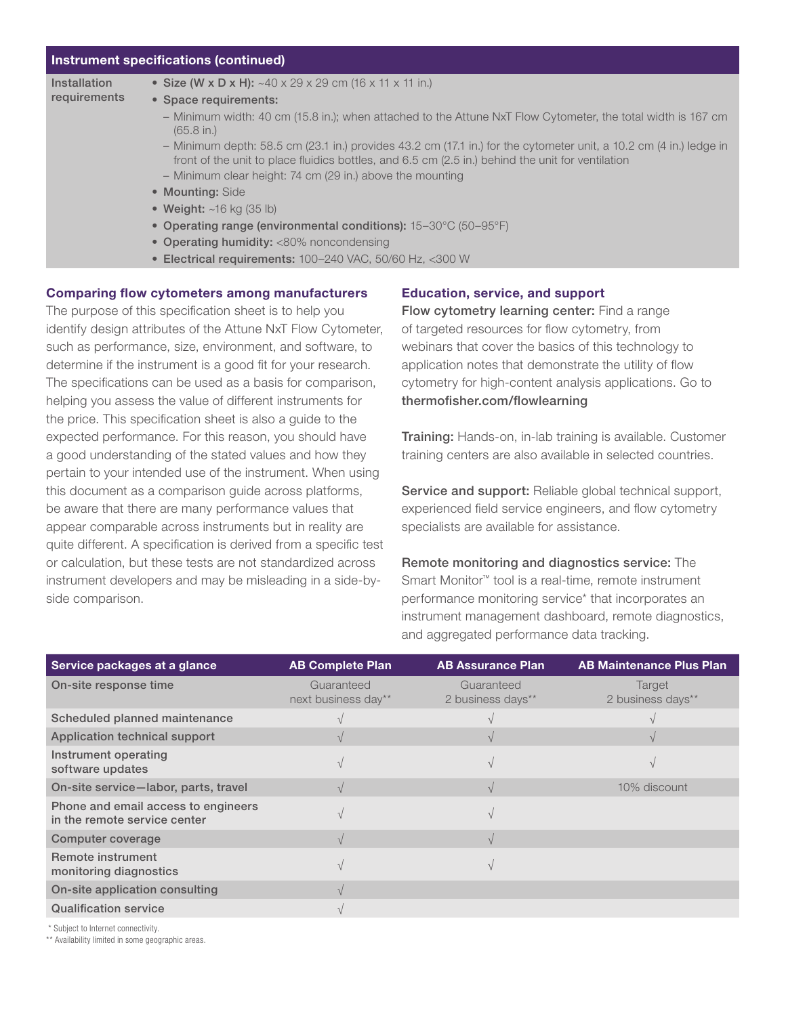### Instrument specifications (continued)

| Installation |
|--------------|
| requirements |

- Size (W x D x H): ~40 x 29 x 29 cm (16 x 11 x 11 in.)
- Space requirements:
	- Minimum width: 40 cm (15.8 in.); when attached to the Attune NxT Flow Cytometer, the total width is 167 cm (65.8 in.)
	- Minimum depth: 58.5 cm (23.1 in.) provides 43.2 cm (17.1 in.) for the cytometer unit, a 10.2 cm (4 in.) ledge in front of the unit to place fluidics bottles, and 6.5 cm (2.5 in.) behind the unit for ventilation
	- Minimum clear height: 74 cm (29 in.) above the mounting
- Mounting: Side
- Weight: ~16 kg (35 lb)
- Operating range (environmental conditions): 15–30°C (50–95°F)
- Operating humidity: <80% noncondensing
- Electrical requirements: 100–240 VAC, 50/60 Hz, <300 W

### Comparing flow cytometers among manufacturers

The purpose of this specification sheet is to help you identify design attributes of the Attune NxT Flow Cytometer, such as performance, size, environment, and software, to determine if the instrument is a good fit for your research. The specifications can be used as a basis for comparison, helping you assess the value of different instruments for the price. This specification sheet is also a guide to the expected performance. For this reason, you should have a good understanding of the stated values and how they pertain to your intended use of the instrument. When using this document as a comparison guide across platforms, be aware that there are many performance values that appear comparable across instruments but in reality are quite different. A specification is derived from a specific test or calculation, but these tests are not standardized across instrument developers and may be misleading in a side-byside comparison.

### Education, service, and support

Flow cytometry learning center: Find a range of targeted resources for flow cytometry, from webinars that cover the basics of this technology to application notes that demonstrate the utility of flow cytometry for high-content analysis applications. Go to thermofisher.com/flowlearning

Training: Hands-on, in-lab training is available. Customer training centers are also available in selected countries.

Service and support: Reliable global technical support, experienced field service engineers, and flow cytometry specialists are available for assistance.

Remote monitoring and diagnostics service: The Smart Monitor™ tool is a real-time, remote instrument performance monitoring service\* that incorporates an instrument management dashboard, remote diagnostics, and aggregated performance data tracking.

| Service packages at a glance                                        | <b>AB Complete Plan</b>           | <b>AB Assurance Plan</b>        | <b>AB Maintenance Plus Plan</b> |
|---------------------------------------------------------------------|-----------------------------------|---------------------------------|---------------------------------|
| On-site response time                                               | Guaranteed<br>next business day** | Guaranteed<br>2 business days** | Target<br>2 business days**     |
| Scheduled planned maintenance                                       |                                   |                                 |                                 |
| Application technical support                                       |                                   |                                 |                                 |
| Instrument operating<br>software updates                            |                                   |                                 |                                 |
| On-site service-labor, parts, travel                                |                                   |                                 | 10% discount                    |
| Phone and email access to engineers<br>in the remote service center |                                   |                                 |                                 |
| Computer coverage                                                   |                                   |                                 |                                 |
| Remote instrument<br>monitoring diagnostics                         |                                   |                                 |                                 |
| On-site application consulting                                      |                                   |                                 |                                 |
| <b>Qualification service</b>                                        |                                   |                                 |                                 |
|                                                                     |                                   |                                 |                                 |

\* Subject to Internet connectivity.

\*\* Availability limited in some geographic areas.